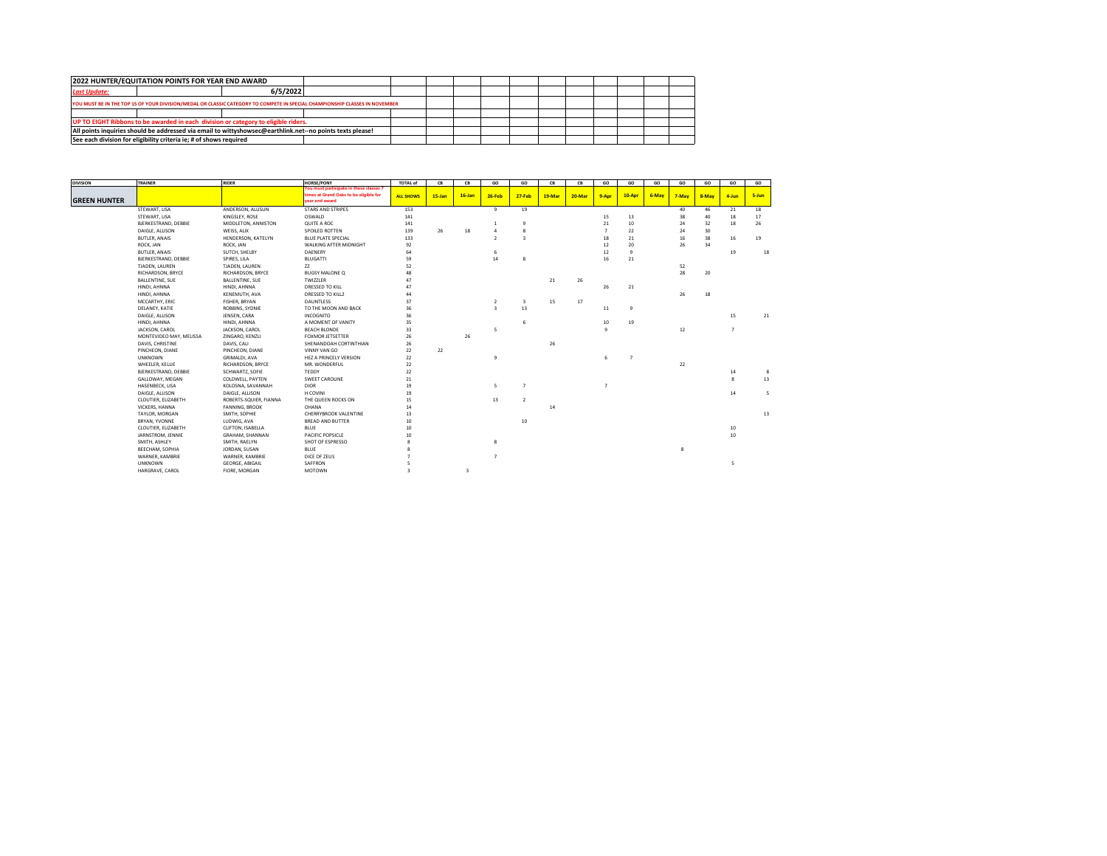| 2022 HUNTER/EQUITATION POINTS FOR YEAR END AWARD                                                                            |          |  |  |  |  |  |  |
|-----------------------------------------------------------------------------------------------------------------------------|----------|--|--|--|--|--|--|
| <b>Last Update:</b>                                                                                                         | 6/5/2022 |  |  |  |  |  |  |
| YOU MUST BE IN THE TOP 15 OF YOUR DIVISION/MEDAL OR CLASSIC CATEGORY TO COMPETE IN SPECIAL CHAMPIONSHIP CLASSES IN NOVEMBER |          |  |  |  |  |  |  |
|                                                                                                                             |          |  |  |  |  |  |  |
| UP TO EIGHT Ribbons to be awarded in each division or category to eligible riders.                                          |          |  |  |  |  |  |  |
| All points inquiries should be addressed via email to wittyshowsec@earthlink.net--no points texts please!                   |          |  |  |  |  |  |  |
| See each division for eligibility criteria ie; # of shows required                                                          |          |  |  |  |  |  |  |
|                                                                                                                             |          |  |  |  |  |  |  |

| <b>DIVISION</b>     | TRAINER                 | <b>RIDER</b>           | <b>HORSE/PONY</b>                                                                                   | <b>TOTAL of</b>  | CB        | CB        | GO             | GO                      | CB     | CB     | GO             | GO             | GO    | GO                 | GO    | GO               | GO    |
|---------------------|-------------------------|------------------------|-----------------------------------------------------------------------------------------------------|------------------|-----------|-----------|----------------|-------------------------|--------|--------|----------------|----------------|-------|--------------------|-------|------------------|-------|
| <b>GREEN HUNTER</b> |                         |                        | You must participate in these classes 7<br>times at Grand Oaks to be eligible for<br>vear end award | <b>ALL SHOWS</b> | $15$ -Jan | $16$ -Jan | 26-Feb         | $27 - Feb$              | 19-Mar | 20-Mar | 9-Apr          | 10-Apr         | 6-May | 7-May              | 8-May | 4-Jun            | 5-Jun |
|                     | STEWART, LISA           | ANDERSON, ALLISUN      | <b>STARS AND STRIPES</b>                                                                            | 153              |           |           | $\overline{9}$ | 19                      |        |        |                |                |       | 40                 | 46    | 21               | 18    |
|                     | STEWART, LISA           | KINGSLEY, ROSE         | OSWALD                                                                                              | 141              |           |           |                |                         |        |        | 15             | 13             |       | 38                 | 40    | 18               | 17    |
|                     | BJERKESTRAND, DEBBIE    | MIDDLETON, ANNISTON    | QUITE A ROC                                                                                         | 141              |           |           |                | $\overline{9}$          |        |        | $_{\rm 21}$    | 10             |       | 24                 | 32    | 18               | 26    |
|                     | DAIGLE, ALLISON         | WEISS, ALIX            | SPOILED ROTTEN                                                                                      | 139              | 26        | 18        | 4              | 8                       |        |        | $\overline{7}$ | 22             |       | 24                 | 30    |                  |       |
|                     | <b>BUTLER, ANAIS</b>    | HENDERSON, KATELYN     | <b>BLUE PLATE SPECIAL</b>                                                                           | 133              |           |           | $\mathfrak{p}$ | $\overline{\mathbf{3}}$ |        |        | 18             | 21             |       | 16                 | 38    | 16               | 19    |
|                     | ROCK, JAN               | ROCK, JAN              | WALKING AFTER MIDNIGHT                                                                              | 92               |           |           |                |                         |        |        | 12             | 20             |       | 26                 | 34    |                  |       |
|                     | <b>BUTLER, ANAIS</b>    | SUTCH, SHELBY          | DAENERY                                                                                             | 64               |           |           | 6              |                         |        |        | 12             | $\overline{9}$ |       |                    |       | 19               | 18    |
|                     | BJERKESTRAND, DEBBIE    | SPIRES, LILA           | <b>BLUGATTI</b>                                                                                     | 59               |           |           | 14             | 8                       |        |        | 16             | 21             |       |                    |       |                  |       |
|                     | TJADEN, LAUREN          | TJADEN, LAUREN         | ZZ                                                                                                  | 52               |           |           |                |                         |        |        |                |                |       | 52                 |       |                  |       |
|                     | RICHARDSON, BRYCE       | RICHARDSON, BRYCE      | <b>BUGSY MALONE Q</b>                                                                               | 48               |           |           |                |                         |        |        |                |                |       | 28                 | 20    |                  |       |
|                     | <b>BALLENTINE, SUE</b>  | BALLENTINE, SUE        | TWIZZLER                                                                                            | 47               |           |           |                |                         | 21     | 26     |                |                |       |                    |       |                  |       |
|                     | HINDI, AHNNA            | HINDI, AHNNA           | DRESSED TO KILL                                                                                     | 47               |           |           |                |                         |        |        | 26             | 21             |       |                    |       |                  |       |
|                     | HINDI, AHNNA            | KENEMUTH, AVA          | DRESSED TO KILL2                                                                                    | 44               |           |           |                |                         |        |        |                |                |       | 26                 | 18    |                  |       |
|                     | MCCARTHY, ERIC          | FISHER, BRYAN          | <b>DAUNTLESS</b>                                                                                    | 37               |           |           | $\overline{2}$ | 3                       | 15     | 17     |                |                |       |                    |       |                  |       |
|                     | DELANEY, KATIE          | ROBBINS, SYDNIE        | TO THE MOON AND BACK                                                                                | 36               |           |           | $\mathbf{a}$   | 13                      |        |        | 11             | $\mathbf{q}$   |       |                    |       |                  |       |
|                     | DAIGLE, ALLISON         | JENSEN, CARA           | <b>INCOGNITO</b>                                                                                    | 36               |           |           |                |                         |        |        |                |                |       |                    |       | 15               | 21    |
|                     | HINDI, AHNNA            | HINDI, AHNNA           | A MOMENT OF VANITY                                                                                  | 35               |           |           |                | 6                       |        |        | 10             | 19             |       |                    |       |                  |       |
|                     | JACKSON, CAROL          | JACKSON, CAROL         | <b>BEACH BLONDE</b>                                                                                 | 33               |           |           | 5              |                         |        |        | $\ddot{q}$     |                |       | $12\,$             |       | $\overline{7}$   |       |
|                     | MONTEVIDEO MAY, MELISSA | ZINGARO, KENZLI        | <b>FOXMOR JETSETTER</b>                                                                             | 26               |           | 26        |                |                         |        |        |                |                |       |                    |       |                  |       |
|                     | DAVIS, CHRISTINE        | DAVIS, CALI            | SHENANDOAH CORTINTHIAN                                                                              | 26               |           |           |                |                         | 26     |        |                |                |       |                    |       |                  |       |
|                     | PINCHEON, DIANE         | PINCHEON, DIANE        | VINNY VAN GO                                                                                        | 22               | 22        |           |                |                         |        |        |                |                |       |                    |       |                  |       |
|                     | <b>UNKNOWN</b>          | GRIMALDI, AVA          | HEZ A PRINCELY VERSION                                                                              | 22               |           |           | 9              |                         |        |        | 6              | $\overline{7}$ |       |                    |       |                  |       |
|                     | WHEELER, KELLIE         | RICHARDSON, BRYCE      | MR. WONDERFUL                                                                                       | 22               |           |           |                |                         |        |        |                |                |       | 22                 |       |                  |       |
|                     | BJERKESTRAND, DEBBIE    | SCHWARTZ, SOFIE        | TEDDY                                                                                               | 22               |           |           |                |                         |        |        |                |                |       |                    |       | 14               | 8     |
|                     | GALLOWAY, MEGAN         | COLDWELL, PAYTEN       | SWEET CAROLINE                                                                                      | 21               |           |           |                |                         |        |        |                |                |       |                    |       | 8                | 13    |
|                     | HASENBECK, LISA         | KOLOSNA, SAVANNAH      | <b>DIOR</b>                                                                                         | 19               |           |           | 5              | $\overline{7}$          |        |        | $\overline{7}$ |                |       |                    |       |                  |       |
|                     | DAIGLE, ALLISON         | DAIGLE, ALLISON        | H COVINI                                                                                            | 19               |           |           |                |                         |        |        |                |                |       |                    |       | 14               | 5     |
|                     | CLOUTIER, ELIZABETH     | ROBERTS-SQUIER, FIANNA | THE QUEEN ROCKS ON                                                                                  | 15               |           |           | 13             | $\overline{2}$          |        |        |                |                |       |                    |       |                  |       |
|                     | VICKERS, HANNA          | FANNING, BROOK         | OHANA                                                                                               | 14               |           |           |                |                         | 14     |        |                |                |       |                    |       |                  |       |
|                     | TAYLOR, MORGAN          | SMITH, SOPHIE          | CHERRYBROOK VALENTINE                                                                               | 13               |           |           |                |                         |        |        |                |                |       |                    |       |                  | 13    |
|                     | BRYAN, YVONNE           | LUDWIG, AVA            | <b>BREAD AND BUTTER</b>                                                                             | $10\,$           |           |           |                | 10                      |        |        |                |                |       |                    |       |                  |       |
|                     | CLOUTIER, ELIZABETH     | CLIFTON, ISABELLA      | BLUE                                                                                                | $10\,$           |           |           |                |                         |        |        |                |                |       |                    |       | 10               |       |
|                     | JARNSTROM, JENNIE       | <b>GRAHAM, SHANNAN</b> | PACIFIC POPSICLE                                                                                    | 10               |           |           |                |                         |        |        |                |                |       |                    |       | 10 <sup>10</sup> |       |
|                     | SMITH, ASHLEY           | SMITH, RAELYN          | SHOT OF ESPRESSO                                                                                    |                  |           |           | 8              |                         |        |        |                |                |       |                    |       |                  |       |
|                     | BEECHAM, SOPHIA         | JORDAN, SUSAN          | <b>BLUE</b>                                                                                         |                  |           |           |                |                         |        |        |                |                |       | $\mathbf{\hat{z}}$ |       |                  |       |
|                     | WARNER, KAMBRIE         | WARNER, KAMBRIE        | DICE OF ZEUS                                                                                        |                  |           |           | $\overline{7}$ |                         |        |        |                |                |       |                    |       |                  |       |
|                     | <b>UNKNOWN</b>          | <b>GEORGE, ABIGAIL</b> | SAFFRON                                                                                             |                  |           |           |                |                         |        |        |                |                |       |                    |       |                  |       |
|                     |                         |                        |                                                                                                     |                  |           |           |                |                         |        |        |                |                |       |                    |       |                  |       |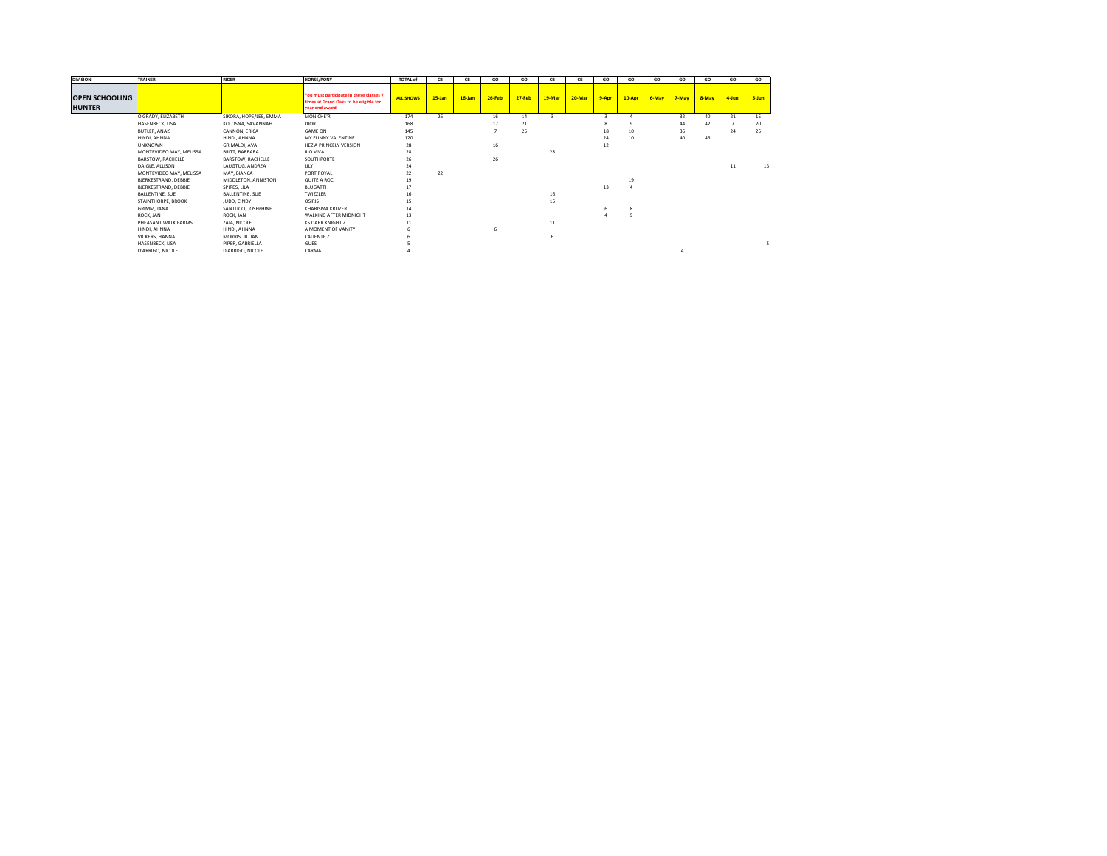| <b>DIVISION</b>                        | <b>TRAINER</b>          | <b>RIDER</b>           | <b>HORSE/PONY</b>                                                                                   | <b>TOTAL of</b>  | CB     | CB        | GO     | GO         | CB     | CB     | GO    | GO     | GO    | GO    | GO    | GO    | GO    |
|----------------------------------------|-------------------------|------------------------|-----------------------------------------------------------------------------------------------------|------------------|--------|-----------|--------|------------|--------|--------|-------|--------|-------|-------|-------|-------|-------|
| <b>OPEN SCHOOLING</b><br><b>HUNTER</b> |                         |                        | You must participate in these classes 7<br>times at Grand Oaks to be eligible for<br>vear end award | <b>ALL SHOWS</b> | 15-Jan | $16$ -Jan | 26-Feb | $27 - Feb$ | 19-Mar | 20-Mar | 9-Apr | 10-Apr | 6-May | 7-May | 8-May | 4-Jun | 5-Jun |
|                                        | O'GRADY, ELIZABETH      | SIKORA, HOPE/LEE, EMMA | MON CHE'RI                                                                                          | 174              | 26     |           | 16     | 14         |        |        |       |        |       | 32    | 40    | 21    | 15    |
|                                        | HASENBECK, LISA         | KOLOSNA, SAVANNAH      | <b>DIOR</b>                                                                                         | 168              |        |           | 17     | 21         |        |        |       |        |       | 44    | 42    |       | 20    |
|                                        | <b>BUTLER, ANAIS</b>    | CANNON, ERICA          | <b>GAME ON</b>                                                                                      | 145              |        |           |        | 25         |        |        | 18    | 10     |       | 36    |       | 24    | 25    |
|                                        | HINDI, AHNNA            | HINDI, AHNNA           | MY FUNNY VALENTINE                                                                                  | 120              |        |           |        |            |        |        | 24    | 10     |       | 40    | 46    |       |       |
|                                        | <b>UNKNOWN</b>          | <b>GRIMALDI, AVA</b>   | HEZ A PRINCELY VERSION                                                                              | 28               |        |           | 16     |            |        |        | 12    |        |       |       |       |       |       |
|                                        | MONTEVIDEO MAY, MELISSA | BRITT, BARBARA         | <b>RIO VIVA</b>                                                                                     | 28               |        |           |        |            | 28     |        |       |        |       |       |       |       |       |
|                                        | BARSTOW, RACHELLE       | BARSTOW, RACHELLE      | SOUTHPORTE                                                                                          | 26               |        |           | 26     |            |        |        |       |        |       |       |       |       |       |
|                                        | DAIGLE, ALLISON         | LAUGTUG, ANDREA        | LILY                                                                                                | 24               |        |           |        |            |        |        |       |        |       |       |       | 11    | 13    |
|                                        | MONTEVIDEO MAY, MELISSA | MAY, BIANCA            | PORT ROYAL                                                                                          | 22               | 22     |           |        |            |        |        |       |        |       |       |       |       |       |
|                                        | BJERKESTRAND, DEBBIE    | MIDDLETON, ANNISTON    | QUITE A ROC                                                                                         | 19               |        |           |        |            |        |        |       | 19     |       |       |       |       |       |
|                                        | BJERKESTRAND, DEBBIE    | SPIRES, LILA           | <b>BLUGATTI</b>                                                                                     | 17               |        |           |        |            |        |        | 13    |        |       |       |       |       |       |
|                                        | BALLENTINE, SUE         | BALLENTINE, SUE        | <b>TWIZZLER</b>                                                                                     | 16               |        |           |        |            | 16     |        |       |        |       |       |       |       |       |
|                                        | STAINTHORPE, BROOK      | JUDD, CINDY            | OSIRIS                                                                                              | 15               |        |           |        |            | 15     |        |       |        |       |       |       |       |       |
|                                        | GRIMM, JANA             | SANTUCCI, JOSEPHINE    | KHARISMA KRUZER                                                                                     | 14               |        |           |        |            |        |        |       |        |       |       |       |       |       |
|                                        | ROCK, JAN               | ROCK, JAN              | WALKING AFTER MIDNIGHT                                                                              | 13               |        |           |        |            |        |        |       |        |       |       |       |       |       |
|                                        | PHEASANT WALK FARMS     | ZAIA, NICOLE           | <b>KS DARK KNIGHT Z</b>                                                                             | $11\,$           |        |           |        |            | $11\,$ |        |       |        |       |       |       |       |       |
|                                        | HINDI, AHNNA            | HINDI, AHNNA           | A MOMENT OF VANITY                                                                                  |                  |        |           |        |            |        |        |       |        |       |       |       |       |       |
|                                        | VICKERS, HANNA          | MORRIS, JILLIAN        | <b>CALIENTE Z</b>                                                                                   |                  |        |           |        |            |        |        |       |        |       |       |       |       |       |
|                                        | HASENBECK, LISA         | PIPER, GABRIELLA       | <b>GUES</b>                                                                                         |                  |        |           |        |            |        |        |       |        |       |       |       |       |       |
|                                        | D'ARRIGO, NICOLE        | D'ARRIGO, NICOLE       | CARMA                                                                                               |                  |        |           |        |            |        |        |       |        |       |       |       |       |       |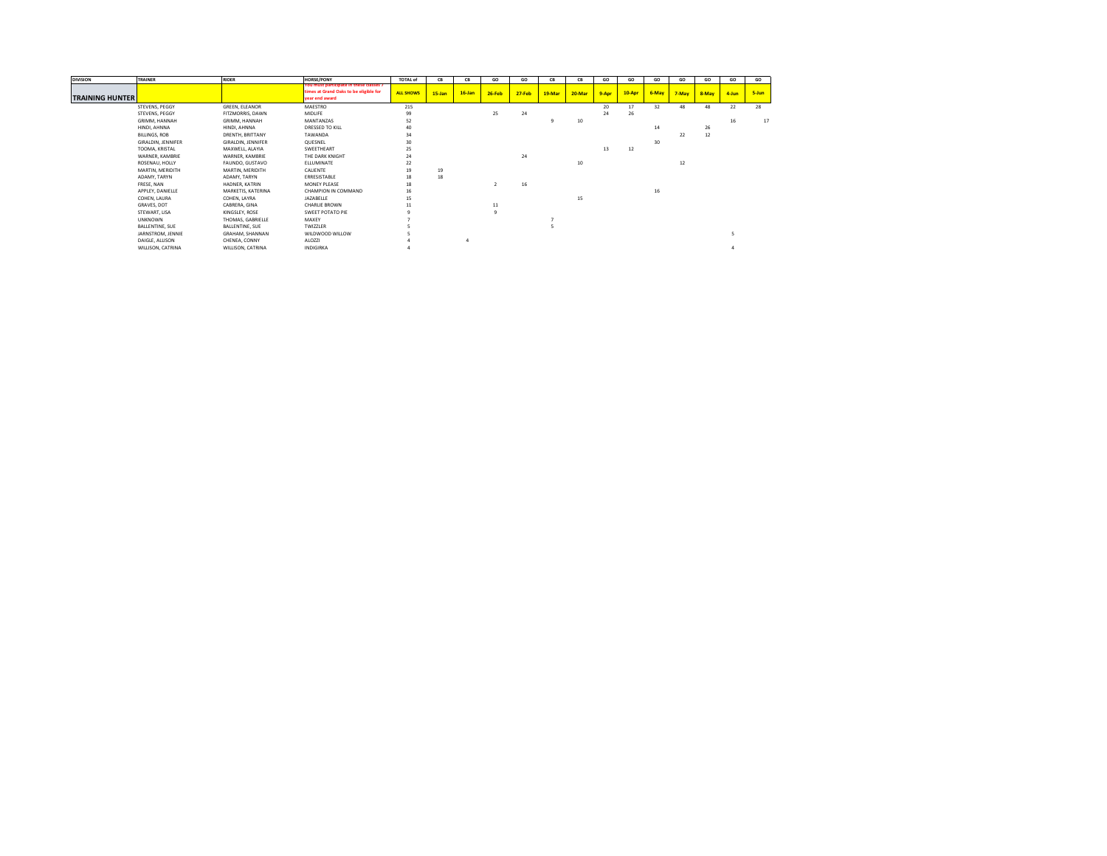| <b>DIVISION</b>        | <b>TRAINER</b>     | <b>RIDER</b>       | <b>HORSE/PONY</b>                                                                                   | <b>TOTAL of</b>  | <b>CB</b>  | CB        | GO            | GO         | CB     | CВ     | GO    | GO     | GO    | GO    | GO    | GO    | GO    |
|------------------------|--------------------|--------------------|-----------------------------------------------------------------------------------------------------|------------------|------------|-----------|---------------|------------|--------|--------|-------|--------|-------|-------|-------|-------|-------|
| <b>TRAINING HUNTER</b> |                    |                    | You must participate in these classes 7<br>times at Grand Oaks to be eligible for<br>vear end award | <b>ALL SHOWS</b> | $15 - Jan$ | $16$ -Jan | $26-Feb$      | $27 - Feb$ | 19-Mar | 20-Mar | 9-Apr | 10-Apr | 6-May | 7-May | 8-May | 4-Jun | 5-Jun |
|                        | STEVENS, PEGGY     | GREEN, ELEANOR     | MAESTRO                                                                                             | 215              |            |           |               |            |        |        | 20    | 17     | 32    | 48    | 48    | 22    | 28    |
|                        | STEVENS, PEGGY     | FITZMORRIS, DAWN   | <b>MIDLIFE</b>                                                                                      | 99               |            |           | 25            | 24         |        |        | 24    | 26     |       |       |       |       |       |
|                        | GRIMM, HANNAH      | GRIMM, HANNAH      | MANTANZAS                                                                                           | 52               |            |           |               |            | 9      | 10     |       |        |       |       |       | 16    | 17    |
|                        | HINDI, AHNNA       | HINDI, AHNNA       | DRESSED TO KILL                                                                                     | 40               |            |           |               |            |        |        |       |        | 14    |       | 26    |       |       |
|                        | BILLINGS, ROB      | DRENTH, BRITTANY   | TAWANDA                                                                                             | 34               |            |           |               |            |        |        |       |        |       | 22    | 12    |       |       |
|                        | GIRALDIN, JENNIFER | GIRALDIN, JENNIFER | QUESNEL                                                                                             | 30               |            |           |               |            |        |        |       |        | 30    |       |       |       |       |
|                        | TOOMA, KRISTAL     | MAXWELL, ALAYIA    | SWEETHEART                                                                                          | 25               |            |           |               |            |        |        | 13    | 12     |       |       |       |       |       |
|                        | WARNER, KAMBRIE    | WARNER, KAMBRIE    | THE DARK KNIGHT                                                                                     | 24               |            |           |               | 24         |        |        |       |        |       |       |       |       |       |
|                        | ROSENAU, HOLLY     | FAUNDO, GUSTAVO    | ELLUMINATE                                                                                          | 22               |            |           |               |            |        | 10     |       |        |       | 12    |       |       |       |
|                        | MARTIN, MERIDITH   | MARTIN, MERIDITH   | CALIENTE                                                                                            | 19               | 19         |           |               |            |        |        |       |        |       |       |       |       |       |
|                        | ADAMY, TARYN       | ADAMY, TARYN       | ERRESISTABLE                                                                                        | 18               | 18         |           |               |            |        |        |       |        |       |       |       |       |       |
|                        | FRESE, NAN         | HADNER, KATRIN     | MONEY PLEASE                                                                                        | 18               |            |           | $\mathcal{I}$ | 16         |        |        |       |        |       |       |       |       |       |
|                        | APPLEY, DANIELLE   | MARKETIS, KATERINA | CHAMPION IN COMMAND                                                                                 | 16               |            |           |               |            |        |        |       |        | 16    |       |       |       |       |
|                        | COHEN, LAURA       | COHEN, LAYRA       | JAZABELLE                                                                                           | 15               |            |           |               |            |        | 15     |       |        |       |       |       |       |       |
|                        | GRAVES, DOT        | CABRERA, GINA      | <b>CHARLIE BROWN</b>                                                                                | 11               |            |           | 11            |            |        |        |       |        |       |       |       |       |       |
|                        | STEWART, LISA      | KINGSLEY, ROSE     | SWEET POTATO PIE                                                                                    |                  |            |           |               |            |        |        |       |        |       |       |       |       |       |
|                        | <b>UNKNOWN</b>     | THOMAS, GABRIELLE  | MAXEY                                                                                               |                  |            |           |               |            |        |        |       |        |       |       |       |       |       |
|                        | BALLENTINE, SUE    | BALLENTINE, SUE    | <b>TWIZZLER</b>                                                                                     |                  |            |           |               |            |        |        |       |        |       |       |       |       |       |
|                        | JARNSTROM, JENNIE  | GRAHAM, SHANNAN    | WILDWOOD WILLOW                                                                                     |                  |            |           |               |            |        |        |       |        |       |       |       |       |       |
|                        | DAIGLE, ALLISON    | CHENEA, CONNY      | ALOZZI                                                                                              |                  |            |           |               |            |        |        |       |        |       |       |       |       |       |
|                        | WILLISON, CATRINA  | WILLISON, CATRINA  | INDIGIRKA                                                                                           |                  |            |           |               |            |        |        |       |        |       |       |       |       |       |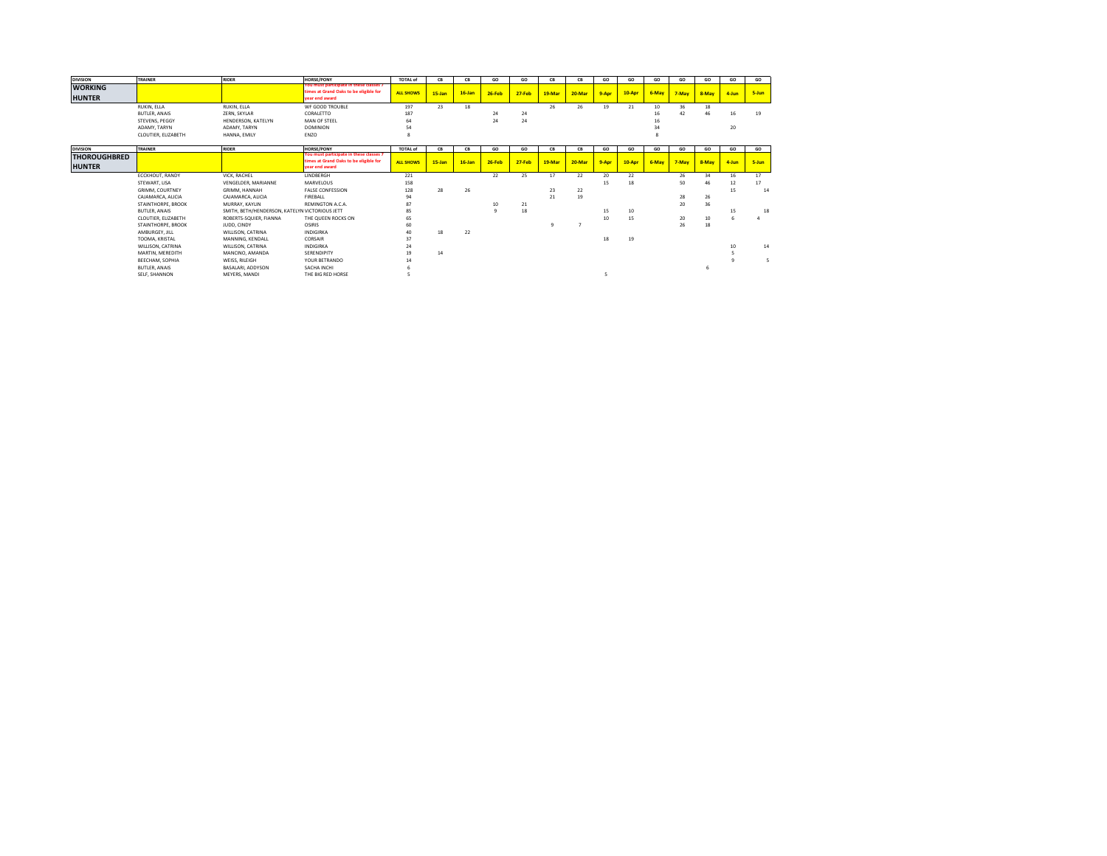| <b>DIVISION</b>     | <b>TRAINER</b>         | <b>RIDER</b>                                   | <b>HORSE/PONY</b>                                                                 | <b>TOTAL of</b>  | CB        | CB        | GO       | GO         | CB             | CB     | GO    | GO     | GO    | GO    | GO    | GO    | GO    |
|---------------------|------------------------|------------------------------------------------|-----------------------------------------------------------------------------------|------------------|-----------|-----------|----------|------------|----------------|--------|-------|--------|-------|-------|-------|-------|-------|
| <b>WORKING</b>      |                        |                                                | You must participate in these classes 7<br>times at Grand Oaks to be eligible for |                  |           |           |          |            |                |        |       |        |       |       |       |       |       |
| <b>HUNTER</b>       |                        |                                                | vear end award                                                                    | <b>ALL SHOWS</b> | $15$ -Jan | $16$ -Jan | $26-Feb$ | $27 - Feb$ | 19-Mar         | 20-Mar | 9-Apr | 10-Apr | 6-May | 7-May | 8-May | 4-Jun | 5-Jun |
|                     | RUKIN, ELLA            | RUKIN, ELLA                                    | WF GOOD TROUBLE                                                                   | 197              | 23        | 18        |          |            | 26             | 26     | 19    | 21     | 10    | 36    | 18    |       |       |
|                     | <b>BUTLER, ANAIS</b>   | ZERN, SKYLAR                                   | CORALETTO                                                                         | 187              |           |           | 24       | 24         |                |        |       |        | 16    | 42    | 46    | 16    | 19    |
|                     | STEVENS, PEGGY         | HENDERSON, KATELYN                             | MAN OF STEEL                                                                      | 64               |           |           | 24       | 24         |                |        |       |        |       |       |       |       |       |
|                     | ADAMY, TARYN           | ADAMY, TARYN                                   | <b>DOMINION</b>                                                                   | 54               |           |           |          |            |                |        |       |        | 34    |       |       | 20    |       |
|                     | CLOUTIER, ELIZABETH    | HANNA, EMILY                                   | ENZO                                                                              | 8                |           |           |          |            |                |        |       |        |       |       |       |       |       |
| <b>DIVISION</b>     | <b>TRAINER</b>         | <b>RIDER</b>                                   | <b>HORSE/PONY</b>                                                                 | <b>TOTAL of</b>  | CB        | CB        | GO       | GO         | CB             | CB     | GO    | GO     | GO    | GO    | GO    | GO    | GO    |
| <b>THOROUGHBRED</b> |                        |                                                | You must participate in these classes 7                                           |                  |           |           |          |            |                |        |       |        |       |       |       |       |       |
| <b>HUNTER</b>       |                        |                                                | times at Grand Oaks to be eligible for<br>vear end award                          | <b>ALL SHOWS</b> | 15-Jan    | $16$ -Jan | 26-Feb   | 27-Feb     | 19-Mar         | 20-Mar | 9-Apr | 10-Apr | 6-May | 7-May | 8-May | 4-Jun | 5-Jun |
|                     |                        |                                                |                                                                                   |                  |           |           |          |            |                |        |       |        |       |       |       |       |       |
|                     | ECCKHOUT, RANDY        | VICK, RACHEL                                   | LINDBERGH                                                                         | 221              |           |           | 22       | 25         | 17             | 22     | 20    | 22     |       | 26    | 34    | 16    | 17    |
|                     | STEWART, LISA          | VENGELDER, MARIANNE                            | <b>MARVELOUS</b>                                                                  | 158              |           |           |          |            |                |        | 15    | 18     |       | 50    | 46    | 12    | 17    |
|                     | <b>GRIMM, COURTNEY</b> | GRIMM, HANNAH                                  | <b>FALSE CONFESSION</b>                                                           | 128              | 28        | 26        |          |            | 23             | 22     |       |        |       |       |       | 15    | 14    |
|                     | CAJAMARCA, ALICIA      | CAJAMARCA, ALICIA                              | <b>FIREBALL</b>                                                                   | 94               |           |           |          |            | 21             | 19     |       |        |       | 28    | 26    |       |       |
|                     | STAINTHORPE, BROOK     | MURRAY, KAYLIN                                 | REMINGTON A.C.A.                                                                  | 87               |           |           | 10       | 21         |                |        |       |        |       | 20    | 36    |       |       |
|                     | <b>BUTLER, ANAIS</b>   | SMITH, BETH/HENDERSON, KATELYN VICTORIOUS JETT |                                                                                   | 85               |           |           | $\circ$  | 18         |                |        | 15    | 10     |       |       |       | 15    | 18    |
|                     | CLOUTIER, ELIZABETH    | ROBERTS-SQUIER, FIANNA                         | THE QUEEN ROCKS ON                                                                | 65               |           |           |          |            |                |        | 10    | 15     |       | 20    | 10    |       |       |
|                     | STAINTHORPE, BROOK     | JUDD, CINDY                                    | OSIRIS                                                                            | 60               |           |           |          |            | $\overline{9}$ |        |       |        |       | 26    | 18    |       |       |
|                     | AMBURGEY, JILL         | WILLISON, CATRINA                              | INDIGIRKA                                                                         | 40               | 18        | 22        |          |            |                |        |       |        |       |       |       |       |       |
|                     | TOOMA, KRISTAL         | MANNING, KENDALL                               | CORSAIR                                                                           | 37               |           |           |          |            |                |        | 18    | 19     |       |       |       |       |       |
|                     | WILLISON, CATRINA      | WILLISON, CATRINA                              | INDIGIRKA                                                                         | 24               |           |           |          |            |                |        |       |        |       |       |       | 10    | 14    |
|                     | MARTIN, MEREDITH       | MANCINO, AMANDA                                | SERENDIPITY                                                                       | 19               | 14        |           |          |            |                |        |       |        |       |       |       |       |       |
|                     | <b>BEECHAM, SOPHIA</b> | WEISS, RILEIGH                                 | YOUR BETRANDO                                                                     | 14               |           |           |          |            |                |        |       |        |       |       |       |       |       |
|                     | <b>BUTLER, ANAIS</b>   | BASALARI, ADDYSON                              | SACHA INCHI                                                                       |                  |           |           |          |            |                |        |       |        |       |       |       |       |       |
|                     | SELF, SHANNON          | MEYERS, MANDI                                  | THE BIG RED HORSE                                                                 |                  |           |           |          |            |                |        |       |        |       |       |       |       |       |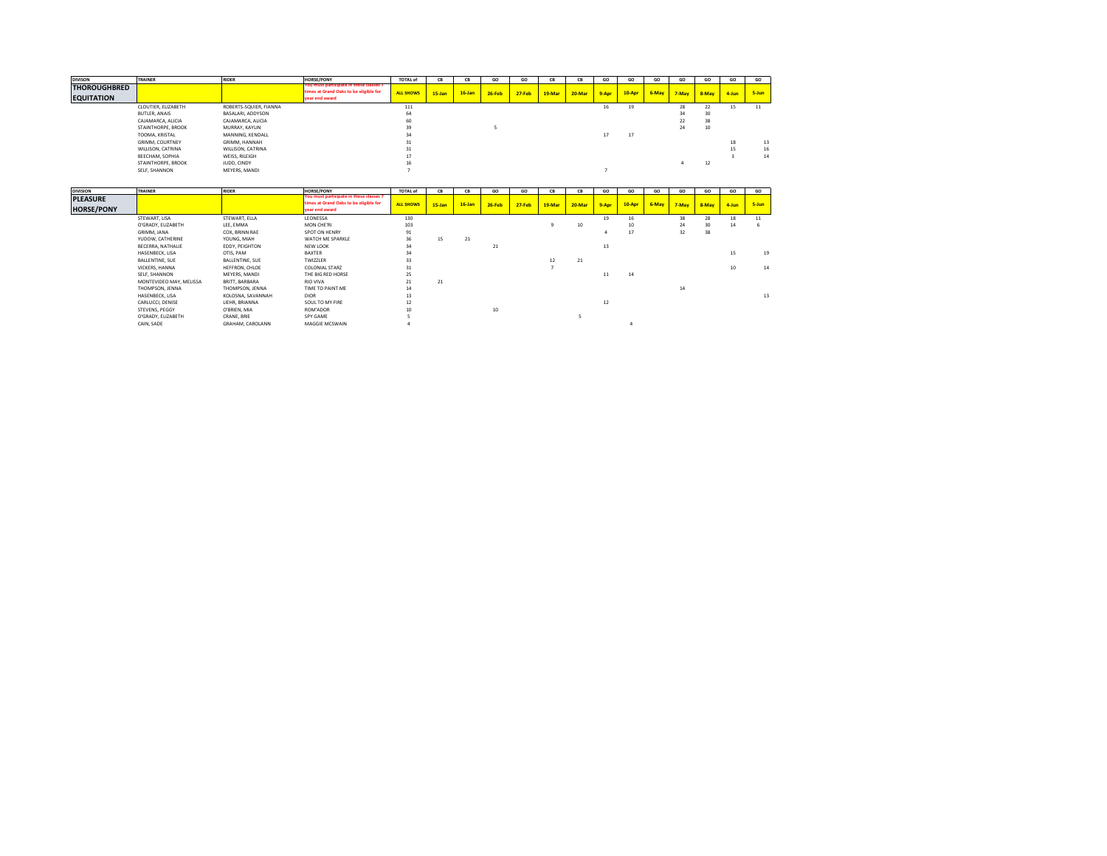| <b>DIVISON</b>      | <b>TRAINER</b>         | <b>RIDER</b>           | <b>HORSE/PONY</b>                                                                 | <b>TOTAL of</b>  | <b>CR</b> | CB        | GO       | GO         | CB     | CB     | GO    | GO     | GO    | GO    | GO              | GO    | GO    |
|---------------------|------------------------|------------------------|-----------------------------------------------------------------------------------|------------------|-----------|-----------|----------|------------|--------|--------|-------|--------|-------|-------|-----------------|-------|-------|
| <b>THOROUGHBRED</b> |                        |                        | You must participate in these classes 7<br>times at Grand Oaks to be eligible for | <b>ALL SHOWS</b> | $15$ -Jan | $16$ -Jan | $26-Feb$ | $27 - Feb$ | 19-Mar | 20-Mar | 9-Apr | 10-Apr | 6-May | 7-May | 8-May           | 4-Jun | 5-Jun |
| <b>EQUITATION</b>   |                        |                        | vear end award                                                                    |                  |           |           |          |            |        |        |       |        |       |       |                 |       |       |
|                     | CLOUTIER, ELIZABETH    | ROBERTS-SQUIER, FIANNA |                                                                                   | 111              |           |           |          |            |        |        | 16    | 19     |       | 28    | 22              | 15    | 11    |
|                     | BUTLER, ANAIS          | BASALARI, ADDYSON      |                                                                                   | 64               |           |           |          |            |        |        |       |        |       |       | 30 <sub>o</sub> |       |       |
|                     | CAJAMARCA, ALICIA      | CAJAMARCA, ALICIA      |                                                                                   | 60               |           |           |          |            |        |        |       |        |       | 22    | 38              |       |       |
|                     | STAINTHORPE, BROOK     | MURRAY, KAYLIN         |                                                                                   | 39               |           |           |          |            |        |        |       |        |       | 24    | 10              |       |       |
|                     | TOOMA, KRISTAL         | MANNING, KENDALL       |                                                                                   | 34               |           |           |          |            |        |        | 17    | 17     |       |       |                 |       |       |
|                     | <b>GRIMM, COURTNEY</b> | GRIMM, HANNAH          |                                                                                   | 31               |           |           |          |            |        |        |       |        |       |       |                 | 18    | 13    |
|                     | WILLISON, CATRINA      | WILLISON, CATRINA      |                                                                                   | 31               |           |           |          |            |        |        |       |        |       |       |                 |       | 16    |
|                     | BEECHAM, SOPHIA        | WEISS, RILEIGH         |                                                                                   |                  |           |           |          |            |        |        |       |        |       |       |                 |       | 14    |
|                     | STAINTHORPE, BROOK     | JUDD, CINDY            |                                                                                   | 16               |           |           |          |            |        |        |       |        |       |       | 12              |       |       |
|                     | SELF. SHANNON          | MEYERS, MANDI          |                                                                                   |                  |           |           |          |            |        |        |       |        |       |       |                 |       |       |

| <b>DIVISION</b>   | <b>TRAINER</b>          | <b>RIDER</b>            | <b>HORSE/PONY</b>                                        | <b>TOTAL of</b>  | <b>CB</b> | CB        | GO       | GO         | CB     | CB     | GO    | GO          | GO    | GO    | GO    | GO    | GO    |
|-------------------|-------------------------|-------------------------|----------------------------------------------------------|------------------|-----------|-----------|----------|------------|--------|--------|-------|-------------|-------|-------|-------|-------|-------|
| <b>PLEASURE</b>   |                         |                         | You must participate in these classes 7                  |                  |           |           |          |            |        |        |       |             |       |       |       |       |       |
| <b>HORSE/PONY</b> |                         |                         | times at Grand Oaks to be eligible for<br>vear end award | <b>ALL SHOWS</b> | $15$ -Jan | $16$ -Jan | $26-Feb$ | $27 - Feb$ | 19-Mar | 20-Mar | 9-Apr | $10 - A$ pr | 6-May | 7-May | 8-May | 4-Jun | 5-Jun |
|                   |                         |                         |                                                          |                  |           |           |          |            |        |        |       |             |       |       |       |       |       |
|                   | STEWART, LISA           | STEWART, ELLA           | LEONESSA                                                 | 130              |           |           |          |            |        |        | 19    | 16          |       | 38    | 28    | 18    | 11    |
|                   | O'GRADY, ELIZABETH      | LEE, EMMA               | MON CHE'RI                                               | 103              |           |           |          |            |        | 10     |       | 10          |       | 24    | 30    | 14    |       |
|                   | GRIMM, JANA             | COX. BRINN RAE          | SPOT ON HENRY                                            | 91               |           |           |          |            |        |        |       | 17          |       | 32    | 38    |       |       |
|                   | YUDOW, CATHERINE        | YOUNG, MIAH             | WATCH ME SPARKLE                                         | 36               | 15        | 21        |          |            |        |        |       |             |       |       |       |       |       |
|                   | BECERRA, NATHALIE       | EDDY, PEIGHTON          | NEW LOOK                                                 | 34               |           |           | 21       |            |        |        | 13    |             |       |       |       |       |       |
|                   | HASENBECK, LISA         | OTIS, PAM               | <b>BAXTER</b>                                            | 34               |           |           |          |            |        |        |       |             |       |       |       | 15    | 19    |
|                   | <b>BALLENTINE, SUE</b>  | BALLENTINE, SUE         | <b>TWIZZLER</b>                                          | 33               |           |           |          |            | 12     | 21     |       |             |       |       |       |       |       |
|                   | VICKERS, HANNA          | HEFFRON, CHLOE          | <b>COLONIAL STARZ</b>                                    | 31               |           |           |          |            |        |        |       |             |       |       |       | 10    | 14    |
|                   | SELF, SHANNON           | MEYERS, MANDI           | THE BIG RED HORSE                                        | 25               |           |           |          |            |        |        | 11    | 14          |       |       |       |       |       |
|                   | MONTEVIDEO MAY, MELISSA | BRITT, BARBARA          | <b>RIO VIVA</b>                                          | 21               | 21        |           |          |            |        |        |       |             |       |       |       |       |       |
|                   | THOMPSON, JENNA         | THOMPSON, JENNA         | TIME TO PAINT ME                                         | 14               |           |           |          |            |        |        |       |             |       | 14    |       |       |       |
|                   | HASENBECK, LISA         | KOLOSNA, SAVANNAH       | <b>DIOR</b>                                              | 13               |           |           |          |            |        |        |       |             |       |       |       |       | 13    |
|                   | CARLUCCI, DENISE        | LIEHR, BRIANNA          | SOUL TO MY FIRE                                          | 12               |           |           |          |            |        |        | 12    |             |       |       |       |       |       |
|                   | STEVENS, PEGGY          | O'BRIEN, MIA            | ROM'ADOR                                                 |                  |           |           | 10       |            |        |        |       |             |       |       |       |       |       |
|                   | O'GRADY, ELIZABETH      | CRANE, BRIE             | SPY GAME                                                 |                  |           |           |          |            |        |        |       |             |       |       |       |       |       |
|                   | CAIN, SADE              | <b>GRAHAM, CAROLANN</b> | MAGGIE MCSWAIN                                           |                  |           |           |          |            |        |        |       |             |       |       |       |       |       |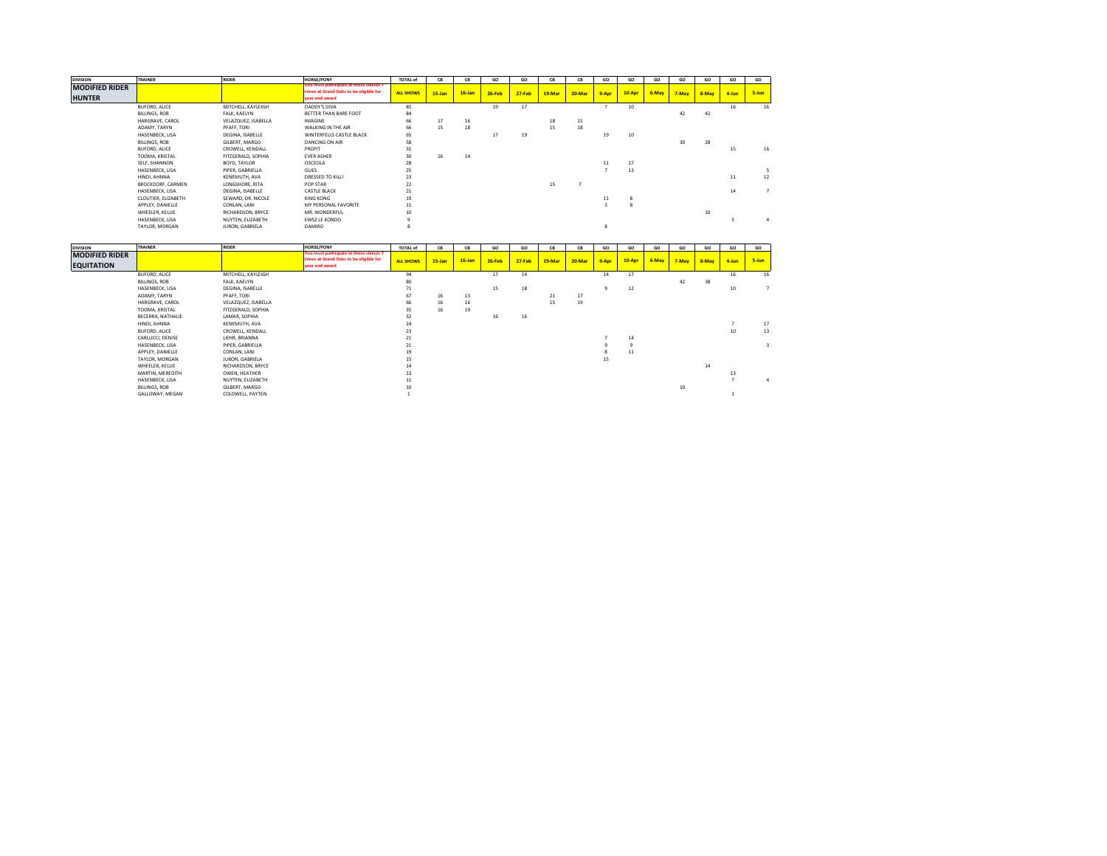| <b>DIVISION</b>                        | TRAINER                  | <b>RIDER</b>        | <b>HORSE/PONY</b>                                                                                   | <b>TOTAL of</b>  | <b>CB</b> | CB        | GO     | GO         | CB     | CB     | GO    | GO     | GO    | GO    | GO    | GO    | GO    |
|----------------------------------------|--------------------------|---------------------|-----------------------------------------------------------------------------------------------------|------------------|-----------|-----------|--------|------------|--------|--------|-------|--------|-------|-------|-------|-------|-------|
| <b>MODIFIED RIDER</b><br><b>HUNTER</b> |                          |                     | You must participate in these classes 7<br>times at Grand Oaks to be eligible for<br>vear end award | <b>ALL SHOWS</b> | $15$ -Jan | $16$ -Jan | 26-Feb | $27 - Feb$ | 19-Mar | 20-Mar | 9-Apr | 10-Apr | 6-May | 7-May | 8-May | 4-Jun | 5-Jun |
|                                        | <b>BUFORD, ALICE</b>     | MITCHELL, KAYLEIGH  | DADDY'S DIVA                                                                                        | 85               |           |           | 19     | 17         |        |        |       | 10     |       |       |       | 16    | 16    |
|                                        | BILLINGS, ROB            | FALK, KAELYN        | BETTER THAN BARE FOOT                                                                               | 84               |           |           |        |            |        |        |       |        |       | 42    | 42    |       |       |
|                                        | HARGRAVE, CAROL          | VELAZQUEZ, ISABELLA | IMAGINE                                                                                             | 66               | 17        | 16        |        |            | 18     | 15     |       |        |       |       |       |       |       |
|                                        | ADAMY, TARYN             | PFAFF, TORI         | WALKING IN THE AIR                                                                                  | 66               | 15        | 18        |        |            | 15     | 18     |       |        |       |       |       |       |       |
|                                        | HASENBECK, LISA          | DEGINA, ISABELLE    | WINTERFELLS CASTLE BLACK                                                                            | 65               |           |           | 17     | 19         |        |        | 19    | 10     |       |       |       |       |       |
|                                        | BILLINGS, ROB            | GILBERT, MARGO      | DANCING ON AIR                                                                                      | 58               |           |           |        |            |        |        |       |        |       | 30    | 28    |       |       |
|                                        | <b>BUFORD, ALICE</b>     | CROWELL, KENDALL    | PROFIT                                                                                              | 31               |           |           |        |            |        |        |       |        |       |       |       | 15    | 16    |
|                                        | TOOMA, KRISTAL           | FITZGERALD, SOPHIA  | <b>EVER ASHER</b>                                                                                   | 30               | 16        | 14        |        |            |        |        |       |        |       |       |       |       |       |
|                                        | SELF, SHANNON            | BOYD, TAYLOR        | OSCEOLA                                                                                             | 28               |           |           |        |            |        |        | 11    | 17     |       |       |       |       |       |
|                                        | HASENBECK, LISA          | PIPER, GABRIELLA    | GUES                                                                                                | 25               |           |           |        |            |        |        |       | 13     |       |       |       |       |       |
|                                        | HINDI, AHNNA             | KENEMUTH, AVA       | DRESSED TO KILL!                                                                                    | 23               |           |           |        |            |        |        |       |        |       |       |       | 11    | 12    |
|                                        | <b>BROCKDORF, CARMEN</b> | LONGSHORE, RITA     | POP STAR                                                                                            | 22               |           |           |        |            | 15     |        |       |        |       |       |       |       |       |
|                                        | HASENBECK, LISA          | DEGINA, ISABELLE    | <b>CASTLE BLACK</b>                                                                                 | 21               |           |           |        |            |        |        |       |        |       |       |       | 14    |       |
|                                        | CLOUTIER, ELIZABETH      | SEWARD, DR. NICOLE  | KING KONG                                                                                           | 19               |           |           |        |            |        |        | 11    |        |       |       |       |       |       |
|                                        | APPLEY, DANIELLE         | CONLAN, LANI        | MY PERSONAL FAVORITE                                                                                | $11\,$           |           |           |        |            |        |        |       |        |       |       |       |       |       |
|                                        | WHEELER, KELLIE          | RICHARDSON, BRYCE   | MR. WONDERFUL                                                                                       | 10               |           |           |        |            |        |        |       |        |       |       | 10    |       |       |
|                                        | HASENBECK, LISA          | NUYTEN, ELIZABETH   | EWSZ LE KONDO                                                                                       |                  |           |           |        |            |        |        |       |        |       |       |       |       |       |
|                                        | TAYLOR, MORGAN           | JURON, GABRIELA     | <b>DAMIRO</b>                                                                                       |                  |           |           |        |            |        |        |       |        |       |       |       |       |       |

| <b>DIVISION</b>       | TRAINER           | <b>RIDER</b>        | <b>HORSE/PONY</b>                                                                 | <b>TOTAL of</b>  | CB        | CB        | GO       | GO         | CB     | CB     | GO    | GO     | GO    | GO    | GO    | GO    | GO    |
|-----------------------|-------------------|---------------------|-----------------------------------------------------------------------------------|------------------|-----------|-----------|----------|------------|--------|--------|-------|--------|-------|-------|-------|-------|-------|
| <b>MODIFIED RIDER</b> |                   |                     | You must participate in these classes 7<br>times at Grand Oaks to be eligible for |                  |           |           |          |            |        |        |       |        |       |       |       |       |       |
| <b>EQUITATION</b>     |                   |                     | year end award                                                                    | <b>ALL SHOWS</b> | $15$ -Jan | $16$ -Jan | $26-Feb$ | $27 - Feb$ | 19-Mar | 20-Mar | 9-Apr | 10-Apr | 6-May | 7-May | 8-May | 4-Jun | 5-Jun |
|                       | BUFORD, ALICE     | MITCHELL, KAYLEIGH  |                                                                                   | 94               |           |           | 17       | 14         |        |        | 14    | 17     |       |       |       | 16    | 16    |
|                       | BILLINGS, ROB     | FALK, KAELYN        |                                                                                   | 80               |           |           |          |            |        |        |       |        |       | 42    | 38    |       |       |
|                       | HASENBECK, LISA   | DEGINA, ISABELLE    |                                                                                   | 71               |           |           | 15       | 18         |        |        | Q     | 12     |       |       |       | 10    |       |
|                       | ADAMY, TARYN      | PFAFF, TORI         |                                                                                   | 67               | 16        | 13        |          |            | 21     | 17     |       |        |       |       |       |       |       |
|                       | HARGRAVE, CAROL   | VELAZQUEZ, ISABELLA |                                                                                   | 66               | 16        | 16        |          |            | 15     | 19     |       |        |       |       |       |       |       |
|                       | TOOMA, KRISTAL    | FITZGERALD, SOPHIA  |                                                                                   | 35               | 16        | 19        |          |            |        |        |       |        |       |       |       |       |       |
|                       | BECERRA, NATHALIE | LAMAR, SOPHIA       |                                                                                   | 32               |           |           | 16       | 16         |        |        |       |        |       |       |       |       |       |
|                       | HINDI, AHNNA      | KENEMUTH, AVA       |                                                                                   | 24               |           |           |          |            |        |        |       |        |       |       |       |       | 17    |
|                       | BUFORD, ALICE     | CROWELL, KENDALL    |                                                                                   | 23               |           |           |          |            |        |        |       |        |       |       |       | 10    | 13    |
|                       | CARLUCCI, DENISE  | LIEHR, BRIANNA      |                                                                                   | 21               |           |           |          |            |        |        |       | 14     |       |       |       |       |       |
|                       | HASENBECK, LISA   | PIPER, GABRIELLA    |                                                                                   | 21               |           |           |          |            |        |        |       |        |       |       |       |       |       |
|                       | APPLEY, DANIELLE  | CONLAN, LANI        |                                                                                   | 19               |           |           |          |            |        |        |       | 11     |       |       |       |       |       |
|                       | TAYLOR, MORGAN    | JURON, GABRIELA     |                                                                                   | 15               |           |           |          |            |        |        | 15    |        |       |       |       |       |       |
|                       | WHEELER, KELLIE   | RICHARDSON, BRYCE   |                                                                                   | 14               |           |           |          |            |        |        |       |        |       |       | 14    |       |       |
|                       | MARTIN, MEREDITH  | OWEN, HEATHER       |                                                                                   | 13               |           |           |          |            |        |        |       |        |       |       |       | 13    |       |
|                       | HASENBECK, LISA   | NUYTEN, ELIZABETH   |                                                                                   | 11               |           |           |          |            |        |        |       |        |       |       |       |       |       |
|                       | BILLINGS, ROB     | GILBERT, MARGO      |                                                                                   | 10               |           |           |          |            |        |        |       |        |       | 10    |       |       |       |
|                       | GALLOWAY, MEGAN   | COLDWELL, PAYTEN    |                                                                                   |                  |           |           |          |            |        |        |       |        |       |       |       |       |       |
|                       |                   |                     |                                                                                   |                  |           |           |          |            |        |        |       |        |       |       |       |       |       |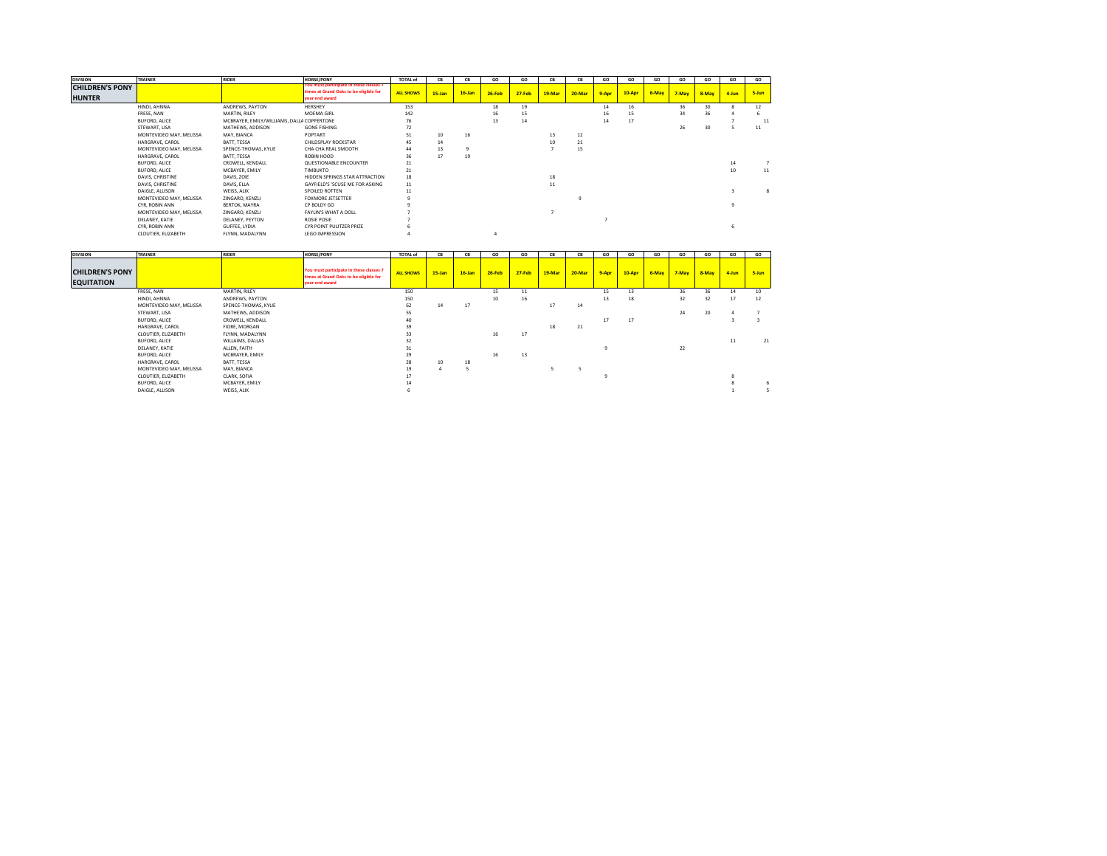| <b>DIVISION</b>        | TRAINER                 | <b>RIDER</b>                               | HORSE/PONY                                               | <b>TOTAL of</b>  | CB        | CB        | GO       | GO         | CB     | CB     | GO    | GO     | GO    | GO    | GO    | GO    | GO    |
|------------------------|-------------------------|--------------------------------------------|----------------------------------------------------------|------------------|-----------|-----------|----------|------------|--------|--------|-------|--------|-------|-------|-------|-------|-------|
| <b>CHILDREN'S PONY</b> |                         |                                            | You must participate in these classes 7                  |                  |           |           |          |            |        |        |       |        |       |       |       |       |       |
|                        |                         |                                            | times at Grand Oaks to be eligible for<br>vear end award | <b>ALL SHOWS</b> | $15$ -Jan | $16$ -Jan | $26-Feb$ | $27 - Feb$ | 19-Mar | 20-Mar | 9-Apr | 10-Apr | 6-May | 7-May | 8-May | 4-Jun | 5-Jun |
| <b>HUNTER</b>          |                         |                                            |                                                          |                  |           |           |          |            |        |        |       |        |       |       |       |       |       |
|                        | HINDI, AHNNA            | ANDREWS, PAYTON                            | HERSHEY                                                  | 153              |           |           | 18       | 19         |        |        | 14    | 16     |       | 36    | 30    |       | 12    |
|                        | FRESE, NAN              | MARTIN, RILEY                              | MOEMA GIRL                                               | 142              |           |           | 16       | 15         |        |        | 16    | 15     |       | 34    | 36    |       |       |
|                        | <b>BUFORD, ALICE</b>    | MCBRAYER, EMILY/WILLIAMS, DALLA COPPERTONE |                                                          | 76               |           |           | 13       | 14         |        |        | 14    | 17     |       |       |       |       | 11    |
|                        | STEWART, LISA           | MATHEWS, ADDISON                           | <b>GONE FISHING</b>                                      | 72               |           |           |          |            |        |        |       |        |       | 26    | 30    |       | 11    |
|                        | MONTEVIDEO MAY, MELISSA | MAY, BIANCA                                | POPTART                                                  | 51               | 10        | 16        |          |            | 13     | 12     |       |        |       |       |       |       |       |
|                        | HARGRAVE, CAROL         | BATT, TESSA                                | CHILDSPLAY ROCKSTAR                                      | 45               | 14        |           |          |            |        | 21     |       |        |       |       |       |       |       |
|                        | MONTEVIDEO MAY, MELISSA | SPENCE-THOMAS, KYLIE                       | CHA CHA REAL SMOOTH                                      | 44               | 13        |           |          |            |        | 15     |       |        |       |       |       |       |       |
|                        | HARGRAVE, CAROL         | BATT, TESSA                                | ROBIN HOOD                                               | 36               | 17        | 19        |          |            |        |        |       |        |       |       |       |       |       |
|                        | BUFORD, ALICE           | CROWELL, KENDALL                           | QUESTIONABLE ENCOUNTER                                   | 21               |           |           |          |            |        |        |       |        |       |       |       | 14    |       |
|                        | BUFORD, ALICE           | MCBAYER, EMILY                             | TIMBUKTO                                                 | 21               |           |           |          |            |        |        |       |        |       |       |       | 10    | 11    |
|                        | DAVIS, CHRISTINE        | DAVIS, ZOIE                                | HIDDEN SPRINGS STAR ATTRACTION                           | 18               |           |           |          |            | 18     |        |       |        |       |       |       |       |       |
|                        | DAVIS, CHRISTINE        | DAVIS, ELLA                                | GAYFIELD'S 'SCUSE ME FOR ASKING                          | $11\,$           |           |           |          |            | 11     |        |       |        |       |       |       |       |       |
|                        | DAIGLE, ALLISON         | WEISS, ALIX                                | SPOILED ROTTEN                                           | 11               |           |           |          |            |        |        |       |        |       |       |       |       |       |
|                        | MONTEVIDEO MAY, MELISSA | ZINGARO, KENZLI                            | <b>FOXMORE JETSETTER</b>                                 |                  |           |           |          |            |        |        |       |        |       |       |       |       |       |
|                        | CYR. ROBIN ANN          | BERTOK, MAYRA                              | CP BOLDY GO                                              |                  |           |           |          |            |        |        |       |        |       |       |       |       |       |
|                        | MONTEVIDEO MAY, MELISSA | ZINGARO, KENZLI                            | FAYLIN'S WHAT A DOLL                                     |                  |           |           |          |            |        |        |       |        |       |       |       |       |       |
|                        | DELANEY, KATIE          | DELANEY, PEYTON                            | ROSIE POSIE                                              |                  |           |           |          |            |        |        |       |        |       |       |       |       |       |
|                        | CYR. ROBIN ANN          | GUFFEE, LYDIA                              | CYR POINT PULITZER PRIZE                                 |                  |           |           |          |            |        |        |       |        |       |       |       |       |       |
|                        | CLOUTIER, ELIZABETH     | FLYNN, MADALYNN                            | <b>LEGO IMPRESSION</b>                                   |                  |           |           |          |            |        |        |       |        |       |       |       |       |       |

| <b>DIVISION</b>                             | TRAINER                 | <b>RIDER</b>         | <b>HORSE/PONY</b>                                                                                   | <b>TOTAL of</b>  | <b>CB</b> | CB        | GO       | GO         | CB     | CB     | GO           | GO     | GO    | GO    | GO    | GO       | GO    |
|---------------------------------------------|-------------------------|----------------------|-----------------------------------------------------------------------------------------------------|------------------|-----------|-----------|----------|------------|--------|--------|--------------|--------|-------|-------|-------|----------|-------|
| <b>CHILDREN'S PONY</b><br><b>EQUITATION</b> |                         |                      | You must participate in these classes 7<br>times at Grand Oaks to be eligible for<br>year end award | <b>ALL SHOWS</b> | 15-Jan    | $16$ -Jan | $26-Feb$ | $27 - Feb$ | 19-Mar | 20-Mar | 9-Apr        | 10-Apr | 6-May | 7-May | 8-May | $4$ -Jun | 5-Jun |
|                                             | FRESE, NAN              | MARTIN, RILEY        |                                                                                                     | 150              |           |           | 15       | 11         |        |        | 15           | 13     |       | 36    | 36    | 14       | 10    |
|                                             | HINDI, AHNNA            | ANDREWS, PAYTON      |                                                                                                     | 150              |           |           | 10       | 16         |        |        | 13           | 18     |       | 32    | 32    | 17       | 12    |
|                                             | MONTEVIDEO MAY, MELISSA | SPENCE-THOMAS, KYLIE |                                                                                                     | 62               | 14        | 17        |          |            | 17     | 14     |              |        |       |       |       |          |       |
|                                             | STEWART, LISA           | MATHEWS, ADDISON     |                                                                                                     | 55               |           |           |          |            |        |        |              |        |       | 24    | 20    |          |       |
|                                             | BUFORD, ALICE           | CROWELL, KENDALL     |                                                                                                     | 40               |           |           |          |            |        |        | 17           | 17     |       |       |       |          |       |
|                                             | HARGRAVE, CAROL         | FIORE, MORGAN        |                                                                                                     | 39               |           |           |          |            | 18     | 21     |              |        |       |       |       |          |       |
|                                             | CLOUTIER, ELIZABETH     | FLYNN, MADALYNN      |                                                                                                     | 33               |           |           | 16       | 17         |        |        |              |        |       |       |       |          |       |
|                                             | BUFORD, ALICE           | WILLAIMS, DALLAS     |                                                                                                     | 32               |           |           |          |            |        |        |              |        |       |       |       | $11\,$   | 21    |
|                                             | DELANEY, KATIE          | ALLEN, FAITH         |                                                                                                     | 31               |           |           |          |            |        |        | $\mathbf{Q}$ |        |       | 22    |       |          |       |
|                                             | BUFORD, ALICE           | MCBRAYER, EMILY      |                                                                                                     | 29               |           |           | 16       | 13         |        |        |              |        |       |       |       |          |       |
|                                             | HARGRAVE, CAROL         | BATT, TESSA          |                                                                                                     | 28               | 10        | 18        |          |            |        |        |              |        |       |       |       |          |       |
|                                             | MONTEVIDEO MAY, MELISSA | MAY, BIANCA          |                                                                                                     | 19               |           |           |          |            |        |        |              |        |       |       |       |          |       |
|                                             | CLOUTIER, ELIZABETH     | CLARK, SOFIA         |                                                                                                     | 17               |           |           |          |            |        |        |              |        |       |       |       |          |       |
|                                             | BUFORD, ALICE           | MCBAYER, EMILY       |                                                                                                     |                  |           |           |          |            |        |        |              |        |       |       |       |          |       |
|                                             | DAIGLE, ALLISON         | WEISS, ALIX          |                                                                                                     |                  |           |           |          |            |        |        |              |        |       |       |       |          |       |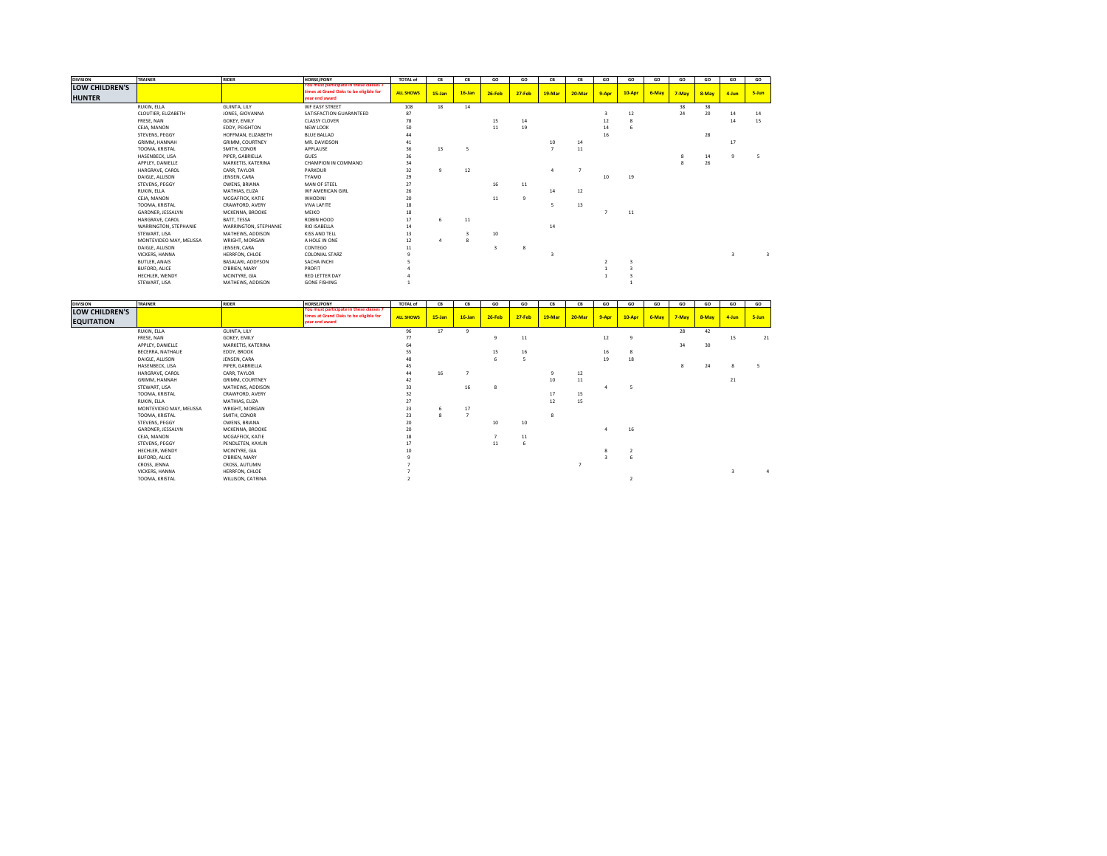| <b>DIVISION</b>                 | <b>TRAINER</b>          | <b>RIDER</b>           | <b>HORSE/PONY</b>                                                                                  | <b>TOTAL of</b>  | <b>CB</b>    | CB        | GO                      | GO             | CB             | CB     | GO    | GO                 | GO    | GO    | GO    | GO       | GO    |
|---------------------------------|-------------------------|------------------------|----------------------------------------------------------------------------------------------------|------------------|--------------|-----------|-------------------------|----------------|----------------|--------|-------|--------------------|-------|-------|-------|----------|-------|
| LOW CHILDREN'S<br><b>HUNTER</b> |                         |                        | ou must participate in these classes 7<br>times at Grand Oaks to be eligible for<br>vear end award | <b>ALL SHOWS</b> | 15-Jan       | $16$ -Jan | $26-Feb$                | $27 - Feb$     | 19-Mar         | 20-Mar | 9-Apr | 10-Apr             | 6-May | 7-May | 8-May | 4-Jun    | 5-Jun |
|                                 | RUKIN, ELLA             | GUINTA, LILY           | WF EASY STREET                                                                                     | 108              | 18           | 14        |                         |                |                |        |       |                    |       | 38    | 38    |          |       |
|                                 | CLOUTIER, ELIZABETH     | JONES, GIOVANNA        | SATISFACTION GUARANTEED                                                                            | 87               |              |           |                         |                |                |        | В     | 12                 |       | 24    | 20    | 14       | 14    |
|                                 | FRESE, NAN              | GOKEY, EMILY           | <b>CLASSY CLOVER</b>                                                                               | 78               |              |           | 15                      | 14             |                |        | 12    | $\mathbf{\hat{z}}$ |       |       |       | 14       | 15    |
|                                 | CEJA, MANON             | EDDY, PEIGHTON         | NEW LOOK                                                                                           | 50               |              |           | 11                      | 19             |                |        | 14    | 6                  |       |       |       |          |       |
|                                 | STEVENS, PEGGY          | HOFFMAN, ELIZABETH     | <b>BLUE BALLAD</b>                                                                                 | 44               |              |           |                         |                |                |        | 16    |                    |       |       | 28    |          |       |
|                                 | GRIMM, HANNAH           | <b>GRIMM, COURTNEY</b> | MR. DAVIDSON                                                                                       | 41               |              |           |                         |                | 10             | 14     |       |                    |       |       |       | 17       |       |
|                                 | TOOMA, KRISTAL          | SMITH, CONOR           | APPLAUSE                                                                                           | 36               | 13           |           |                         |                | $\overline{ }$ | 11     |       |                    |       |       |       |          |       |
|                                 | HASENBECK, LISA         | PIPER, GABRIELLA       | <b>GUES</b>                                                                                        | 36               |              |           |                         |                |                |        |       |                    |       |       | 14    | $\Omega$ | 5     |
|                                 | APPLEY, DANIELLE        | MARKETIS, KATERINA     | CHAMPION IN COMMAND                                                                                | 34               |              |           |                         |                |                |        |       |                    |       |       | 26    |          |       |
|                                 | HARGRAVE, CAROL         | CARR, TAYLOR           | PARKOUR                                                                                            | 32               | $\mathbf{Q}$ | 12        |                         |                | 4              |        |       |                    |       |       |       |          |       |
|                                 | DAIGLE, ALLISON         | JENSEN, CARA           | <b>TYAMO</b>                                                                                       | 29               |              |           |                         |                |                |        | 10    | 19                 |       |       |       |          |       |
|                                 | STEVENS, PEGGY          | OWENS, BRIANA          | MAN OF STEEL                                                                                       | 27               |              |           | 16                      | 11             |                |        |       |                    |       |       |       |          |       |
|                                 | RUKIN, ELLA             | MATHIAS, ELIZA         | WF AMERICAN GIRL                                                                                   | 26               |              |           |                         |                | 14             | 12     |       |                    |       |       |       |          |       |
|                                 | CEJA, MANON             | MCGAFFICK, KATIE       | WHODINI                                                                                            | 20               |              |           | 11                      | $\overline{9}$ |                |        |       |                    |       |       |       |          |       |
|                                 | TOOMA, KRISTAL          | CRAWFORD, AVERY        | <b>VIVA LAFITE</b>                                                                                 | 18               |              |           |                         |                | 5              | 13     |       |                    |       |       |       |          |       |
|                                 | GARDNER, JESSALYN       | MCKENNA, BROOKE        | MEIKO                                                                                              | 18               |              |           |                         |                |                |        |       | 11                 |       |       |       |          |       |
|                                 | HARGRAVE, CAROL         | BATT, TESSA            | ROBIN HOOD                                                                                         | 17               | 6            | 11        |                         |                |                |        |       |                    |       |       |       |          |       |
|                                 | WARRINGTON, STEPHANIE   | WARRINGTON, STEPHANIE  | <b>RIO ISABELLA</b>                                                                                | 14               |              |           |                         |                | 14             |        |       |                    |       |       |       |          |       |
|                                 | STEWART, LISA           | MATHEWS, ADDISON       | <b>KISS AND TELL</b>                                                                               | 13               |              |           | 10                      |                |                |        |       |                    |       |       |       |          |       |
|                                 | MONTEVIDEO MAY, MELISSA | WRIGHT, MORGAN         | A HOLE IN ONE                                                                                      | 12               | $\Lambda$    | 8         |                         |                |                |        |       |                    |       |       |       |          |       |
|                                 | DAIGLE, ALLISON         | JENSEN, CARA           | CONTEGO                                                                                            | $11\,$           |              |           | $\overline{\mathbf{3}}$ | 8              |                |        |       |                    |       |       |       |          |       |
|                                 | VICKERS, HANNA          | HERRFON, CHLOE         | <b>COLONIAL STARZ</b>                                                                              |                  |              |           |                         |                |                |        |       |                    |       |       |       |          |       |
|                                 | <b>BUTLER, ANAIS</b>    | BASALARI, ADDYSON      | SACHA INCHI                                                                                        |                  |              |           |                         |                |                |        |       |                    |       |       |       |          |       |
|                                 | <b>BUFORD, ALICE</b>    | O'BRIEN, MARY          | PROFIT                                                                                             |                  |              |           |                         |                |                |        |       |                    |       |       |       |          |       |
|                                 | HECHLER, WENDY          | MCINTYRE, GIA          | <b>RED LETTER DAY</b>                                                                              |                  |              |           |                         |                |                |        |       |                    |       |       |       |          |       |
|                                 | STEWART, LISA           | MATHEWS, ADDISON       | <b>GONE FISHING</b>                                                                                |                  |              |           |                         |                |                |        |       |                    |       |       |       |          |       |

| <b>DIVISION</b>                            | <b>TRAINER</b>          | <b>RIDER</b>       | <b>HORSE/PONY</b>                                                                                   | <b>TOTAL of</b>  | <b>CB</b>  | CB           | GO           | GO         | CB           | CB     | GO    | GO     | GO    | GO    | GO    | GO    | GO    |
|--------------------------------------------|-------------------------|--------------------|-----------------------------------------------------------------------------------------------------|------------------|------------|--------------|--------------|------------|--------------|--------|-------|--------|-------|-------|-------|-------|-------|
| <b>LOW CHILDREN'S</b><br><b>EQUITATION</b> |                         |                    | You must participate in these classes 7<br>times at Grand Oaks to be eligible for<br>year end award | <b>ALL SHOWS</b> | $15 - Jan$ | $16$ -Jan    | $26-Feb$     | $27 - Feb$ | 19-Mar       | 20-Mar | 9-Apr | 10-Apr | 6-May | 7-May | 8-May | 4-Jun | 5-Jun |
|                                            | RUKIN, ELLA             | GUINTA, LILY       |                                                                                                     | 96               | 17         | $\mathbf{q}$ |              |            |              |        |       |        |       | 28    | 42    |       |       |
|                                            | FRESE, NAN              | GOKEY, EMILY       |                                                                                                     | 77               |            |              | 9            | 11         |              |        | 12    |        |       |       |       | 15    | 21    |
|                                            | APPLEY, DANIELLE        | MARKETIS, KATERINA |                                                                                                     | 64               |            |              |              |            |              |        |       |        |       | 34    | 30    |       |       |
|                                            | BECERRA, NATHALIE       | EDDY, BROOK        |                                                                                                     | 55               |            |              | 15           | 16         |              |        | 16    | 8      |       |       |       |       |       |
|                                            | DAIGLE, ALLISON         | JENSEN, CARA       |                                                                                                     | 48               |            |              |              | 5          |              |        | 19    | 18     |       |       |       |       |       |
|                                            | HASENBECK, LISA         | PIPER, GABRIELLA   |                                                                                                     | 45               |            |              |              |            |              |        |       |        |       | 8     | 24    |       |       |
|                                            | HARGRAVE, CAROL         | CARR, TAYLOR       |                                                                                                     | 44               | 16         |              |              |            |              | 12     |       |        |       |       |       |       |       |
|                                            | GRIMM, HANNAH           | GRIMM, COURTNEY    |                                                                                                     | 42               |            |              |              |            | 10           | 11     |       |        |       |       |       | 21    |       |
|                                            | STEWART, LISA           | MATHEWS, ADDISON   |                                                                                                     | 33               |            | 16           | <sub>R</sub> |            |              |        |       |        |       |       |       |       |       |
|                                            | TOOMA, KRISTAL          | CRAWFORD, AVERY    |                                                                                                     | 32               |            |              |              |            | 17           | 15     |       |        |       |       |       |       |       |
|                                            | RUKIN, ELLA             | MATHIAS, ELIZA     |                                                                                                     | 27               |            |              |              |            | 12           | 15     |       |        |       |       |       |       |       |
|                                            | MONTEVIDEO MAY, MELISSA | WRIGHT, MORGAN     |                                                                                                     | 23               |            | 17           |              |            |              |        |       |        |       |       |       |       |       |
|                                            | TOOMA, KRISTAL          | SMITH, CONOR       |                                                                                                     | 23               |            |              |              |            | <sub>8</sub> |        |       |        |       |       |       |       |       |
|                                            | STEVENS, PEGGY          | OWENS, BRIANA      |                                                                                                     | 20               |            |              | 10           | 10         |              |        |       |        |       |       |       |       |       |
|                                            | GARDNER, JESSALYN       | MCKENNA, BROOKE    |                                                                                                     | 20               |            |              |              |            |              |        |       | 16     |       |       |       |       |       |
|                                            | CEJA, MANON             | MCGAFFICK, KATIE   |                                                                                                     | 18               |            |              |              | $11\,$     |              |        |       |        |       |       |       |       |       |
|                                            | STEVENS, PEGGY          | PENDLETEN, KAYLIN  |                                                                                                     | 17               |            |              | 11           | 6          |              |        |       |        |       |       |       |       |       |
|                                            | HECHLER, WENDY          | MCINTYRE, GIA      |                                                                                                     | 10               |            |              |              |            |              |        |       |        |       |       |       |       |       |
|                                            | BUFORD, ALICE           | O'BRIEN, MARY      |                                                                                                     |                  |            |              |              |            |              |        |       |        |       |       |       |       |       |
|                                            | CROSS, JENNA            | CROSS, AUTUMN      |                                                                                                     |                  |            |              |              |            |              |        |       |        |       |       |       |       |       |
|                                            | VICKERS, HANNA          | HERRFON, CHLOE     |                                                                                                     |                  |            |              |              |            |              |        |       |        |       |       |       |       |       |
|                                            | TOOMA, KRISTAL          | WILLISON, CATRINA  |                                                                                                     |                  |            |              |              |            |              |        |       |        |       |       |       |       |       |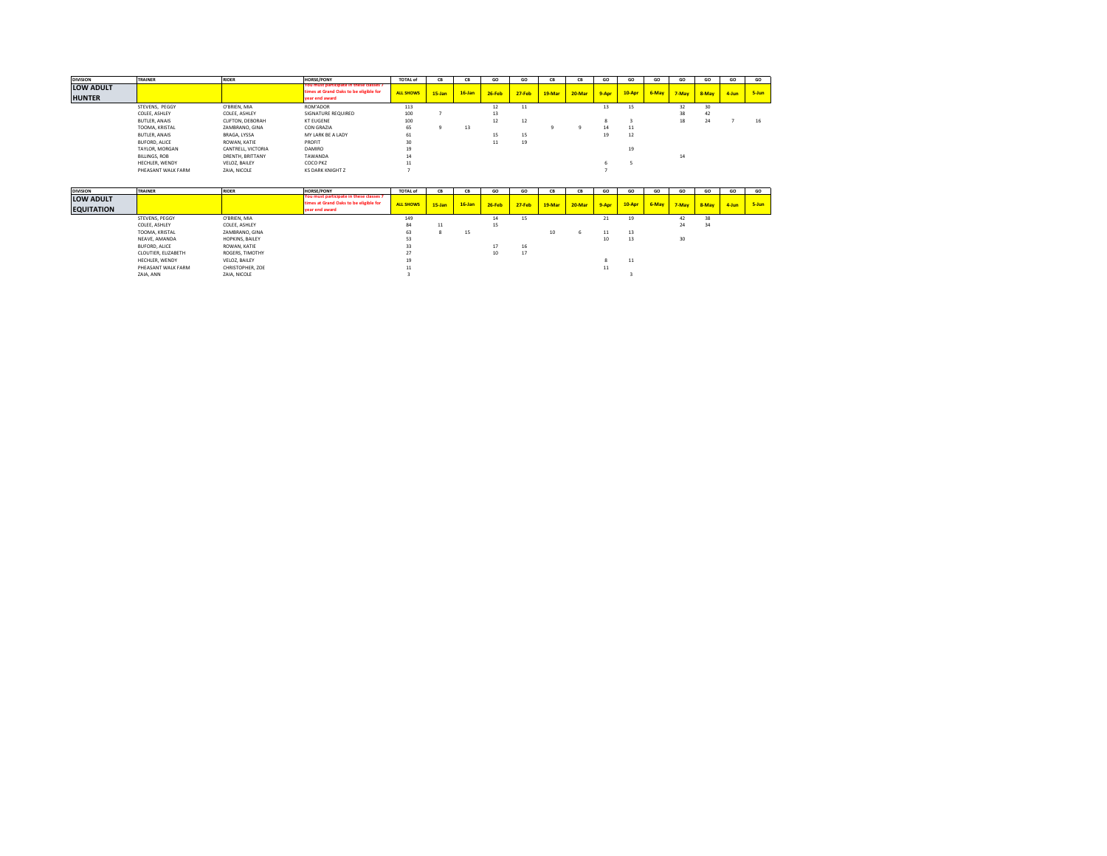| <b>DIVISION</b>            | <b>TRAINER</b>       | <b>RIDER</b>      | <b>HORSE/PONY</b>                                                                                   | <b>TOTAL of</b>  | <b>CB</b> | CB        | GO     | GO         | <b>CB</b> | <b>CB</b> | GO    | GO     | GO    | GO    | GO    | GO    | GO    |
|----------------------------|----------------------|-------------------|-----------------------------------------------------------------------------------------------------|------------------|-----------|-----------|--------|------------|-----------|-----------|-------|--------|-------|-------|-------|-------|-------|
| LOW ADULT<br><b>HUNTER</b> |                      |                   | You must participate in these classes 7<br>times at Grand Oaks to be eligible for<br>vear end award | <b>ALL SHOWS</b> | $15$ -Jan | $16$ -Jan | 26-Feb | $27 - Feb$ | 19-Mar    | 20-Mar    | 9-Apr | 10-Apr | 6-May | 7-May | 8-May | 4-Jun | 5-Jun |
|                            | STEVENS, PEGGY       | O'BRIEN, MIA      | ROM'ADOR                                                                                            | 113              |           |           | 12     | 11         |           |           | 13    | 15     |       |       | 30    |       |       |
|                            | COLEE, ASHLEY        | COLEE, ASHLEY     | SIGNATURE REQUIRED                                                                                  | 100              |           |           | 13     |            |           |           |       |        |       | 38    | 42    |       |       |
|                            | <b>BUTLER, ANAIS</b> | CLIFTON, DEBORAH  | <b>KT EUGENE</b>                                                                                    | 100              |           |           | 12     | 12         |           |           |       |        |       | 18    | 24    |       | 16    |
|                            | TOOMA, KRISTAL       | ZAMBRANO, GINA    | CON GRAZIA                                                                                          | 65               |           | 13        |        |            |           |           |       | 11     |       |       |       |       |       |
|                            | <b>BUTLER, ANAIS</b> | BRAGA, LYSSA      | MY LARK BE A LADY                                                                                   | 61               |           |           | 15     | 15         |           |           | 19    | 12     |       |       |       |       |       |
|                            | BUFORD, ALICE        | ROWAN, KATIE      | PROFIT                                                                                              | 30               |           |           | 11     | 19         |           |           |       |        |       |       |       |       |       |
|                            | TAYLOR, MORGAN       | CANTRELL VICTORIA | <b>DAMIRO</b>                                                                                       | 19               |           |           |        |            |           |           |       | 19     |       |       |       |       |       |
|                            | BILLINGS, ROB        | DRENTH, BRITTANY  | TAWANDA                                                                                             | 14               |           |           |        |            |           |           |       |        |       | 14    |       |       |       |
|                            | HECHLER, WENDY       | VELOZ, BAILEY     | COCO PKZ                                                                                            | 11               |           |           |        |            |           |           |       |        |       |       |       |       |       |
|                            | PHEASANT WALK FARM   | ZAIA, NICOLE      | <b>KS DARK KNIGHT Z</b>                                                                             |                  |           |           |        |            |           |           |       |        |       |       |       |       |       |

| <b>DIVISION</b>   | <b>TRAINER</b>      | <b>RIDER</b>     | <b>HORSE/PONY</b>                                        | <b>TOTAL of</b> | <b>CR</b>  | CB        | GO       | GO         | <b>CR</b> | ск     | GO    | GO     | GO    | GO    | GO    | GO    | GO    |
|-------------------|---------------------|------------------|----------------------------------------------------------|-----------------|------------|-----------|----------|------------|-----------|--------|-------|--------|-------|-------|-------|-------|-------|
| <b>LOW ADULT</b>  |                     |                  | You must participate in these classes 7                  |                 |            |           |          |            |           |        |       |        |       |       |       |       |       |
| <b>EQUITATION</b> |                     |                  | times at Grand Oaks to be eligible for<br>year end award | ALL SHOWS       | $15 - Jan$ | $16$ -Jan | $26-Feb$ | $27 - Feb$ | 19-Mar    | 20-Mar | 9-Apr | 10-Apr | 6-May | 7-May | 8-May | 4-Jun | 5-Jun |
|                   | STEVENS, PEGGY      | O'BRIEN, MIA     |                                                          | 149             |            |           | 14       | 15         |           |        | 21    | 19     |       | 42    | 38    |       |       |
|                   | COLEE, ASHLEY       | COLEE, ASHLEY    |                                                          | 84              | 11         |           | 15       |            |           |        |       |        |       | 24    | 34    |       |       |
|                   | TOOMA, KRISTAL      | ZAMBRANO, GINA   |                                                          | 63              |            | 15        |          |            | 10        |        | 11    | 13     |       |       |       |       |       |
|                   | NEAVE, AMANDA       | HOPKINS, BAILEY  |                                                          | 53              |            |           |          |            |           |        | 10    | 13     |       | 30    |       |       |       |
|                   | BUFORD, ALICE       | ROWAN, KATIE     |                                                          | 33              |            |           |          | 16         |           |        |       |        |       |       |       |       |       |
|                   | CLOUTIER, ELIZABETH | ROGERS, TIMOTHY  |                                                          | 27              |            |           | 10       | 17         |           |        |       |        |       |       |       |       |       |
|                   | HECHLER, WENDY      | VELOZ, BAILEY    |                                                          | 19              |            |           |          |            |           |        |       | 11     |       |       |       |       |       |
|                   | PHEASANT WALK FARM  | CHRISTOPHER, ZOE |                                                          | 11              |            |           |          |            |           |        | 11    |        |       |       |       |       |       |
|                   | ZAIA, ANN           | ZAIA, NICOLE     |                                                          |                 |            |           |          |            |           |        |       |        |       |       |       |       |       |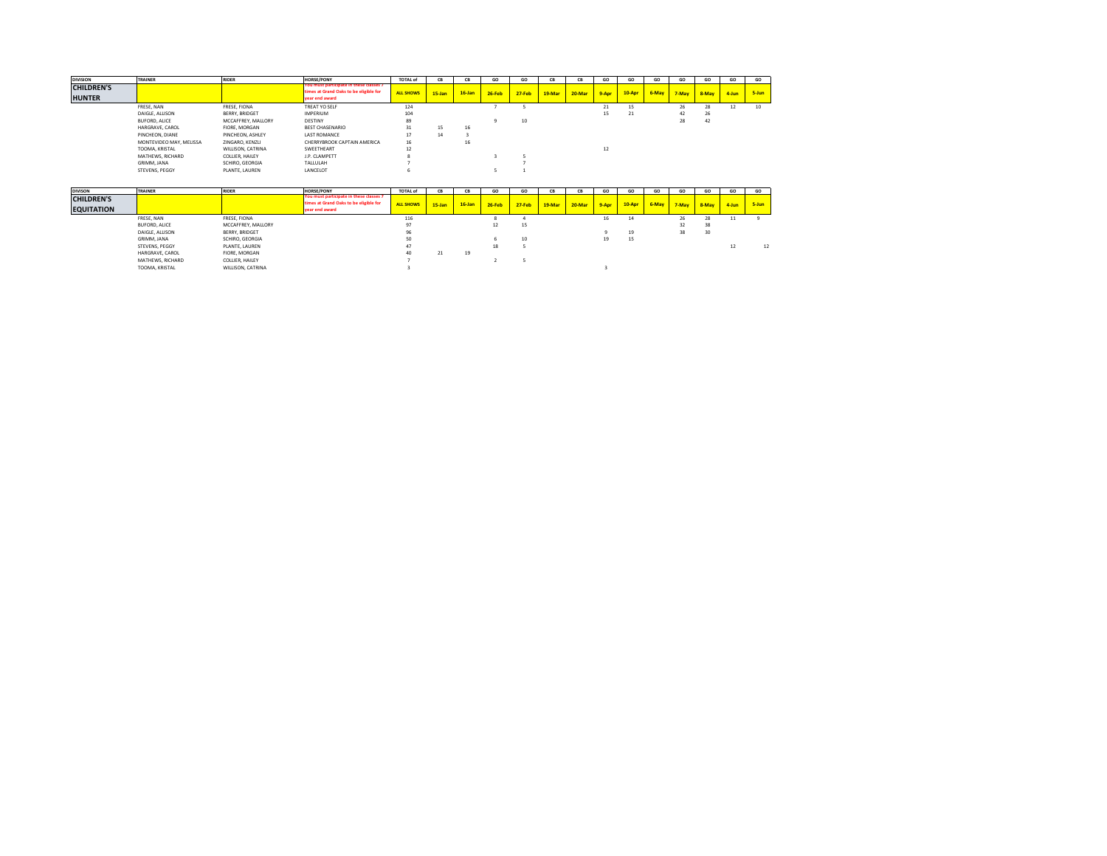| <b>DIVISION</b>                    | <b>TRAINER</b>          | <b>RIDER</b>       | <b>HORSE/PONY</b>                                                                                   | <b>TOTAL of</b>  | <b>CR</b> | <b>CR</b> | െ        | GO         | <b>CR</b> | CB     | GO             | GO       | GO    | GO    | GO    | GO    | GO    |
|------------------------------------|-------------------------|--------------------|-----------------------------------------------------------------------------------------------------|------------------|-----------|-----------|----------|------------|-----------|--------|----------------|----------|-------|-------|-------|-------|-------|
| <b>CHILDREN'S</b><br><b>HUNTER</b> |                         |                    | You must participate in these classes 7<br>times at Grand Oaks to be eligible for<br>vear end award | <b>ALL SHOWS</b> | $15$ -Jan | $16$ -Jan | $26-Feb$ | $27 - Feb$ | 19-Mar    | 20-Mar | 9-Apr          | $10-Apr$ | 6-May | 7-May | 8-May | 4-Jun | 5-Jun |
|                                    | FRESE, NAN              | FRESE, FIONA       | TREAT YO SELF                                                                                       | 124              |           |           |          |            |           |        | $\mathbf{z}_1$ | 15       |       | 26    | 28    | 12    | 10    |
|                                    | DAIGLE, ALLISON         | BERRY, BRIDGET     | <b>IMPERIUM</b>                                                                                     | 104              |           |           |          |            |           |        | 15             | 21       |       | 42    | 26    |       |       |
|                                    | BUFORD, ALICE           | MCCAFFREY, MALLORY | DESTINY                                                                                             | 89               |           |           |          | 10         |           |        |                |          |       | 28    | 42    |       |       |
|                                    | HARGRAVE, CAROL         | FIORE, MORGAN      | <b>BEST CHASENARIO</b>                                                                              | 31               | 15        | 16        |          |            |           |        |                |          |       |       |       |       |       |
|                                    | PINCHEON, DIANE         | PINCHEON, ASHLEY   | <b>LAST ROMANCE</b>                                                                                 | 17               | 14        |           |          |            |           |        |                |          |       |       |       |       |       |
|                                    | MONTEVIDEO MAY, MELISSA | ZINGARO, KENZLI    | CHERRYBROOK CAPTAIN AMERICA                                                                         | 16               |           | 16        |          |            |           |        |                |          |       |       |       |       |       |
|                                    | TOOMA, KRISTAL          | WILLISON, CATRINA  | SWEETHEART                                                                                          | 12               |           |           |          |            |           |        | 12             |          |       |       |       |       |       |
|                                    | MATHEWS, RICHARD        | COLLIER, HAILEY    | J.P. CLAMPETT                                                                                       |                  |           |           |          |            |           |        |                |          |       |       |       |       |       |
|                                    | GRIMM, JANA             | SCHIRO, GEORGIA    | TALLULAH                                                                                            |                  |           |           |          |            |           |        |                |          |       |       |       |       |       |
|                                    | STEVENS, PEGGY          | PLANTE, LAUREN     | LANCELOT                                                                                            |                  |           |           |          |            |           |        |                |          |       |       |       |       |       |

| <b>DIVISON</b>    | <b>TRAINER</b>   | <b>RIDER</b>       | <b>HORSE/PONY</b>                                                                 | <b>TOTAL of</b>  | <b>CR</b>  | CB        | GO            | GO         | CB     | си     | GO    | GO          | GO    | GO    | GO    | GO    | GO    |
|-------------------|------------------|--------------------|-----------------------------------------------------------------------------------|------------------|------------|-----------|---------------|------------|--------|--------|-------|-------------|-------|-------|-------|-------|-------|
| <b>CHILDREN'S</b> |                  |                    | You must participate in these classes 7<br>times at Grand Oaks to be eligible for | <b>ALL SHOWS</b> | $15 - Jan$ | $16$ -Jan | <b>26-Feb</b> | $27 - Feb$ | 19-Mar | 20-Mar | 9-Apr | $10 - A$ pr | 6-May | 7-May | 8-May | 4-Jun | 5-Jun |
| <b>EQUITATION</b> |                  |                    | year end award                                                                    |                  |            |           |               |            |        |        |       |             |       |       |       |       |       |
|                   | FRESE, NAN       | FRESE, FIONA       |                                                                                   | 116              |            |           |               |            |        |        | 16    | 14          |       | 26    | 28    |       |       |
|                   | BUFORD, ALICE    | MCCAFFREY, MALLORY |                                                                                   | 97               |            |           | 12            | 15         |        |        |       |             |       | 32    | 38    |       |       |
|                   | DAIGLE, ALLISON  | BERRY, BRIDGET     |                                                                                   | 96               |            |           |               |            |        |        |       | 19          |       | 38    | 30    |       |       |
|                   | GRIMM, JANA      | SCHIRO, GEORGIA    |                                                                                   | 50               |            |           |               | 10         |        |        | 19    | 15          |       |       |       |       |       |
|                   | STEVENS, PEGGY   | PLANTE, LAUREN     |                                                                                   | 47               |            |           | 18            |            |        |        |       |             |       |       |       |       | 12    |
|                   | HARGRAVE, CAROL  | FIORE, MORGAN      |                                                                                   |                  | 21         | 19        |               |            |        |        |       |             |       |       |       |       |       |
|                   | MATHEWS, RICHARD | COLLIER, HAILEY    |                                                                                   |                  |            |           |               |            |        |        |       |             |       |       |       |       |       |
|                   | TOOMA, KRISTAL   | WILLISON, CATRINA  |                                                                                   |                  |            |           |               |            |        |        |       |             |       |       |       |       |       |